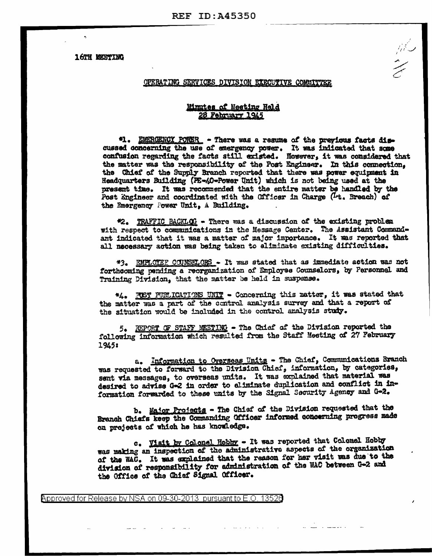**16TH MEETING** 

## OPERATING SERVICES DIVISION EXECUTIVE COMMITTER

## Minutes of Meeting Held 28 February 1945

"1. EMERGENCY PORER - There was a resume of the previous facts discussed concerning the use of emergency power. It was indicated that some confusion regarding the facts still existed. However, it was considered that the matter was the responsibility of the Post Engineer. In this connection. the Chief of the Supply Branch reported that there was power equipment in Headquarters Building (PE-40-Power Unit) which is not being used at the present time. It was recommended that the entire matter be handled by the Post Engineer and coordinated with the Officer in Charge (1+. Breach) of the Emergency Power Unit, A Building.

#2. TRAFFIC BACKLOG - There was a discussion of the existing problem with respect to communications in the Message Center. The Assistant Commandant indicated that it was a matter of major importance. It was reported that all necessary action was being taken to eliminate existing difficulties.

\*3. EMPLOTEF COUNSELORS - It was stated that as immediate action was not forthcoming pending a reorganization of Employee Counselors, by Personnel and Training Division, that the matter be held in suspense.

\*4. FIST PUELICATIONS UNIT - Concerning this matter, it was stated that the matter was a part of the control analysis survey and that a report of the situation would be included in the control analysis study.

5. REPORT OF STAFF MEETING - The Chief of the Division reported the following information which resulted from the Staff Meeting of 27 February 1945:

a. Information to Overseas Units - The Chief, Communications Branch was requested to forward to the Division Chief, information, by categories, sent via messages, to overseas units. It was explained that material was desired to advise G-2 in order to eliminate duplication and conflict in information forwarded to these units by the Signal Security Agency and G-2.

b. Major Projects - The Chief of the Division requested that the Branch Chiefs keep the Commanding Officer informed concerning progress made on projects of which he has knowledge.

c. Visit by Colonel Hobby - It was reported that Colonel Hobby was making an inspection of the administrative aspects of the organization of the WAC. It was explained that the reason for her visit was due to the division of responsibility for administration of the WAC between G-2 and the Office of the Chief Signal Officer.

Approved for Release by NSA on 09-30-2013 pursuant to E.O. 13526

and the state of the